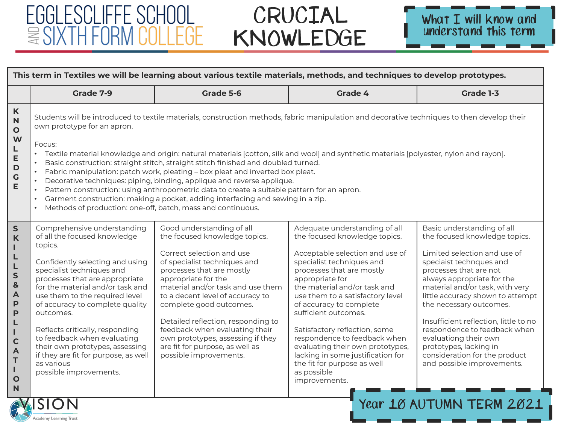#### CRUCIAL KNOWLEDGE

EGGLESCLIFFE SCHOOL

Academy Learning Trust

**ESIXTH FORM COLLEGE** 



----------

| This term in Textiles we will be learning about various textile materials, methods, and techniques to develop prototypes.                   |                                                                                                                                                                                                                                                                                                                                                                                                                                                                                                      |                                                                                                                                                                                                                                                                                                                                                                                                                                                                                                                                                                                                                                                                                                                       |                                                                                                                                                                                                                                                                                                                                                                                                                                                                                                                |                                                                                                                                                                                                                                                                                                                                                                                                                                                                                                         |
|---------------------------------------------------------------------------------------------------------------------------------------------|------------------------------------------------------------------------------------------------------------------------------------------------------------------------------------------------------------------------------------------------------------------------------------------------------------------------------------------------------------------------------------------------------------------------------------------------------------------------------------------------------|-----------------------------------------------------------------------------------------------------------------------------------------------------------------------------------------------------------------------------------------------------------------------------------------------------------------------------------------------------------------------------------------------------------------------------------------------------------------------------------------------------------------------------------------------------------------------------------------------------------------------------------------------------------------------------------------------------------------------|----------------------------------------------------------------------------------------------------------------------------------------------------------------------------------------------------------------------------------------------------------------------------------------------------------------------------------------------------------------------------------------------------------------------------------------------------------------------------------------------------------------|---------------------------------------------------------------------------------------------------------------------------------------------------------------------------------------------------------------------------------------------------------------------------------------------------------------------------------------------------------------------------------------------------------------------------------------------------------------------------------------------------------|
|                                                                                                                                             | Grade 7-9                                                                                                                                                                                                                                                                                                                                                                                                                                                                                            | Grade 5-6                                                                                                                                                                                                                                                                                                                                                                                                                                                                                                                                                                                                                                                                                                             | Grade 4                                                                                                                                                                                                                                                                                                                                                                                                                                                                                                        | Grade 1-3                                                                                                                                                                                                                                                                                                                                                                                                                                                                                               |
| $\mathsf K$<br>N<br>$\bullet$<br>W<br>LEDGE                                                                                                 | own prototype for an apron.<br>Focus:<br>Methods of production: one-off, batch, mass and continuous.                                                                                                                                                                                                                                                                                                                                                                                                 | Students will be introduced to textile materials, construction methods, fabric manipulation and decorative techniques to then develop their<br>Textile material knowledge and origin: natural materials [cotton, silk and wool] and synthetic materials [polyester, nylon and rayon].<br>Basic construction: straight stitch, straight stitch finished and doubled turned.<br>Fabric manipulation: patch work, pleating - box pleat and inverted box pleat.<br>Decorative techniques: piping, binding, applique and reverse applique.<br>Pattern construction: using anthropometric data to create a suitable pattern for an apron.<br>Garment construction: making a pocket, adding interfacing and sewing in a zip. |                                                                                                                                                                                                                                                                                                                                                                                                                                                                                                                |                                                                                                                                                                                                                                                                                                                                                                                                                                                                                                         |
| $\mathsf{s}$<br>K<br>ı<br>L<br>L<br>S<br>&<br>A<br>P<br>P<br>L<br>L<br>$\mathsf{C}$<br>$\blacktriangle$<br>$\mathsf T$<br>L<br>$\circ$<br>N | Comprehensive understanding<br>of all the focused knowledge<br>topics.<br>Confidently selecting and using<br>specialist techniques and<br>processes that are appropriate<br>for the material and/or task and<br>use them to the required level<br>of accuracy to complete quality<br>outcomes.<br>Reflects critically, responding<br>to feedback when evaluating<br>their own prototypes, assessing<br>if they are fit for purpose, as well<br>as various<br>possible improvements.<br><b>MISION</b> | Good understanding of all<br>the focused knowledge topics.<br>Correct selection and use<br>of specialist techniques and<br>processes that are mostly<br>appropriate for the<br>material and/or task and use them<br>to a decent level of accuracy to<br>complete good outcomes.<br>Detailed reflection, responding to<br>feedback when evaluating their<br>own prototypes, assessing if they<br>are fit for purpose, as well as<br>possible improvements.                                                                                                                                                                                                                                                             | Adequate understanding of all<br>the focused knowledge topics.<br>Acceptable selection and use of<br>specialist techniques and<br>processes that are mostly<br>appropriate for<br>the material and/or task and<br>use them to a satisfactory level<br>of accuracy to complete<br>sufficient outcomes.<br>Satisfactory reflection, some<br>respondence to feedback when<br>evaluating their own prototypes,<br>lacking in some justification for<br>the fit for purpose as well<br>as possible<br>improvements. | Basic understanding of all<br>the focused knowledge topics.<br>Limited selection and use of<br>speciaist technques and<br>processes that are not<br>always appropriate for the<br>material and/or task, with very<br>little accuracy shown to attempt<br>the necessary outcomes.<br>Insufficient reflection, little to no<br>respondence to feedback when<br>evaluationg their own<br>prototypes, lacking in<br>consideration for the product<br>and possible improvements.<br>Year 10 AUTUMN TERM 2021 |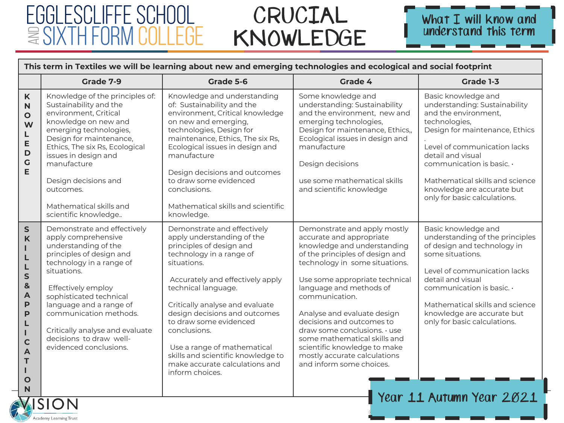Academy Learning Trust



|                                                                                                                    | Grade 7-9                                                                                                                                                                                                                                                                                                                                       | Grade 5-6                                                                                                                                                                                                                                                                                                                                                                                                                           | Grade 4                                                                                                                                                                                                                                                                                                                                                                                                                                                             | Grade 1-3                                                                                                                                                                                                                                                                                                                |
|--------------------------------------------------------------------------------------------------------------------|-------------------------------------------------------------------------------------------------------------------------------------------------------------------------------------------------------------------------------------------------------------------------------------------------------------------------------------------------|-------------------------------------------------------------------------------------------------------------------------------------------------------------------------------------------------------------------------------------------------------------------------------------------------------------------------------------------------------------------------------------------------------------------------------------|---------------------------------------------------------------------------------------------------------------------------------------------------------------------------------------------------------------------------------------------------------------------------------------------------------------------------------------------------------------------------------------------------------------------------------------------------------------------|--------------------------------------------------------------------------------------------------------------------------------------------------------------------------------------------------------------------------------------------------------------------------------------------------------------------------|
| K<br>$\overline{\mathsf{N}}$<br>$\mathbf{o}$<br>W<br>L<br>E<br>$\mathsf D$<br>$\mathbf G$<br>E                     | Knowledge of the principles of:<br>Sustainability and the<br>environment, Critical<br>knowledge on new and<br>emerging technologies,<br>Design for maintenance,<br>Ethics, The six Rs, Ecological<br>issues in design and<br>manufacture<br>Design decisions and<br>outcomes.<br>Mathematical skills and<br>scientific knowledge                | Knowledge and understanding<br>of: Sustainability and the<br>environment, Critical knowledge<br>on new and emerging,<br>technologies, Design for<br>maintenance, Ethics, The six Rs,<br>Ecological issues in design and<br>manufacture<br>Design decisions and outcomes<br>to draw some evidenced<br>conclusions.<br>Mathematical skills and scientific<br>knowledge.                                                               | Some knowledge and<br>understanding: Sustainability<br>and the environment, new and<br>emerging technologies,<br>Design for maintenance, Ethics,,<br>Ecological issues in design and<br>manufacture<br>Design decisions<br>use some mathematical skills<br>and scientific knowledge                                                                                                                                                                                 | Basic knowledge and<br>understanding: Sustainability<br>and the environment.<br>technologies,<br>Design for maintenance, Ethics<br>Level of communication lacks<br>detail and visual<br>communication is basic. $\cdot$<br>Mathematical skills and science<br>knowledge are accurate but<br>only for basic calculations. |
| $\mathsf{S}$<br>K<br>L<br>S<br>$\mathbf{8}$<br>$\mathsf{A}$<br>P<br>P<br>$\mathbf C$<br>A<br>T<br>$\mathbf O$<br>N | Demonstrate and effectively<br>apply comprehensive<br>understanding of the<br>principles of design and<br>technology in a range of<br>situations.<br>Effectively employ<br>sophisticated technical<br>language and a range of<br>communication methods.<br>Critically analyse and evaluate<br>decisions to draw well-<br>evidenced conclusions. | Demonstrate and effectively<br>apply understanding of the<br>principles of design and<br>technology in a range of<br>situations.<br>Accurately and effectively apply<br>technical language.<br>Critically analyse and evaluate<br>design decisions and outcomes<br>to draw some evidenced<br>conclusions.<br>Use a range of mathematical<br>skills and scientific knowledge to<br>make accurate calculations and<br>inform choices. | Demonstrate and apply mostly<br>accurate and appropriate<br>knowledge and understanding<br>of the principles of design and<br>technology in some situations.<br>Use some appropriate technical<br>language and methods of<br>communication.<br>Analyse and evaluate design<br>decisions and outcomes to<br>draw some conclusions. · use<br>some mathematical skills and<br>scientific knowledge to make<br>mostly accurate calculations<br>and inform some choices. | Basic knowledge and<br>understanding of the principles<br>of design and technology in<br>some situations.<br>Level of communication lacks<br>detail and visual<br>communication is basic. .<br>Mathematical skills and science<br>knowledge are accurate but<br>only for basic calculations.<br>Year 11 Autumn Year 2021 |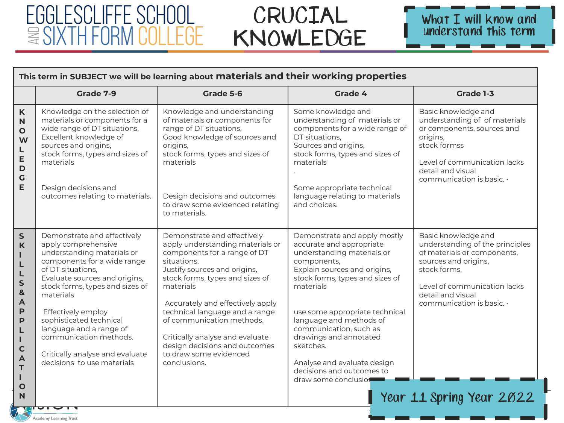## CRUCIAL KNOWLEDGE



|                                                                                                                                                                             | This term in SUBJECT we will be learning about materials and their working properties                                                                                                                                                                                                                                                                                                        |                                                                                                                                                                                                                                                                                                                                                                                                                 |                                                                                                                                                                                                                                                                                                                                                                                                         |                                                                                                                                                                                                                                                   |  |  |
|-----------------------------------------------------------------------------------------------------------------------------------------------------------------------------|----------------------------------------------------------------------------------------------------------------------------------------------------------------------------------------------------------------------------------------------------------------------------------------------------------------------------------------------------------------------------------------------|-----------------------------------------------------------------------------------------------------------------------------------------------------------------------------------------------------------------------------------------------------------------------------------------------------------------------------------------------------------------------------------------------------------------|---------------------------------------------------------------------------------------------------------------------------------------------------------------------------------------------------------------------------------------------------------------------------------------------------------------------------------------------------------------------------------------------------------|---------------------------------------------------------------------------------------------------------------------------------------------------------------------------------------------------------------------------------------------------|--|--|
|                                                                                                                                                                             | Grade 7-9                                                                                                                                                                                                                                                                                                                                                                                    | Grade 5-6                                                                                                                                                                                                                                                                                                                                                                                                       | Grade 4                                                                                                                                                                                                                                                                                                                                                                                                 | Grade 1-3                                                                                                                                                                                                                                         |  |  |
| K<br>$\mathsf{N}$<br>$\mathbf{o}$<br>W<br>L<br>E<br>D<br>G<br>E                                                                                                             | Knowledge on the selection of<br>materials or components for a<br>wide range of DT situations,<br>Excellent knowledge of<br>sources and origins,<br>stock forms, types and sizes of<br>materials<br>Design decisions and<br>outcomes relating to materials.                                                                                                                                  | Knowledge and understanding<br>of materials or components for<br>range of DT situations,<br>Good knowledge of sources and<br>origins,<br>stock forms, types and sizes of<br>materials<br>Design decisions and outcomes<br>to draw some evidenced relating<br>to materials.                                                                                                                                      | Some knowledge and<br>understanding of materials or<br>components for a wide range of<br>DT situations,<br>Sources and origins,<br>stock forms, types and sizes of<br>materials<br>Some appropriate technical<br>language relating to materials<br>and choices.                                                                                                                                         | Basic knowledge and<br>understanding of of materials<br>or components, sources and<br>origins,<br>stock formss<br>Level of communication lacks<br>detail and visual<br>communication is basic. .                                                  |  |  |
| ${\sf S}$<br>$\mathsf{K}$<br>Ш<br>L<br>L<br>S<br>&<br>$\overline{\mathsf{A}}$<br>$\mathsf{P}$<br>$\mathsf{P}$<br>L<br>т<br>$\mathsf{C}$<br>A<br>T<br>H.<br>$\mathbf O$<br>N | Demonstrate and effectively<br>apply comprehensive<br>understanding materials or<br>components for a wide range<br>of DT situations,<br>Evaluate sources and origins,<br>stock forms, types and sizes of<br>materials<br>Effectively employ<br>sophisticated technical<br>language and a range of<br>communication methods.<br>Critically analyse and evaluate<br>decisions to use materials | Demonstrate and effectively<br>apply understanding materials or<br>components for a range of DT<br>situations,<br>Justify sources and origins,<br>stock forms, types and sizes of<br>materials<br>Accurately and effectively apply<br>technical language and a range<br>of communication methods.<br>Critically analyse and evaluate<br>design decisions and outcomes<br>to draw some evidenced<br>conclusions. | Demonstrate and apply mostly<br>accurate and appropriate<br>understanding materials or<br>components,<br>Explain sources and origins,<br>stock forms, types and sizes of<br>materials<br>use some appropriate technical<br>language and methods of<br>communication, such as<br>drawings and annotated<br>sketches.<br>Analyse and evaluate design<br>decisions and outcomes to<br>draw some conclusion | Basic knowledge and<br>understanding of the principles<br>of materials or components,<br>sources and origins,<br>stock forms,<br>Level of communication lacks<br>detail and visual<br>communication is basic. $\cdot$<br>Year 11 Spring Year 2022 |  |  |

Academy Learning Trust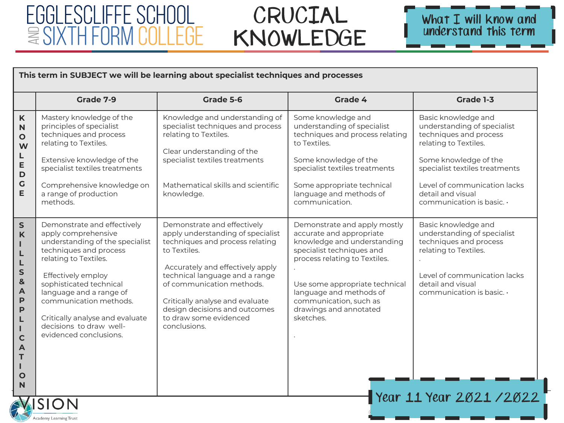Academy Learning Trust



|                                                                                                                                                                                                        | This term in SUBJECT we will be learning about specialist techniques and processes                                                                                                                                                                                                                                                             |                                                                                                                                                                                                                                                                                                                                      |                                                                                                                                                                                                                                                                                     |                                                                                                                                                                                                                                                          |  |
|--------------------------------------------------------------------------------------------------------------------------------------------------------------------------------------------------------|------------------------------------------------------------------------------------------------------------------------------------------------------------------------------------------------------------------------------------------------------------------------------------------------------------------------------------------------|--------------------------------------------------------------------------------------------------------------------------------------------------------------------------------------------------------------------------------------------------------------------------------------------------------------------------------------|-------------------------------------------------------------------------------------------------------------------------------------------------------------------------------------------------------------------------------------------------------------------------------------|----------------------------------------------------------------------------------------------------------------------------------------------------------------------------------------------------------------------------------------------------------|--|
|                                                                                                                                                                                                        | Grade 7-9                                                                                                                                                                                                                                                                                                                                      | Grade 5-6                                                                                                                                                                                                                                                                                                                            | Grade 4                                                                                                                                                                                                                                                                             | Grade 1-3                                                                                                                                                                                                                                                |  |
| K<br>N<br>$\mathbf{o}$<br>W<br>L<br>E<br>$\mathbf D$<br>$\mathsf C$<br>E                                                                                                                               | Mastery knowledge of the<br>principles of specialist<br>techniques and process<br>relating to Textiles.<br>Extensive knowledge of the<br>specialist textiles treatments<br>Comprehensive knowledge on<br>a range of production<br>methods.                                                                                                     | Knowledge and understanding of<br>specialist techniques and process<br>relating to Textiles.<br>Clear understanding of the<br>specialist textiles treatments<br>Mathematical skills and scientific<br>knowledge.                                                                                                                     | Some knowledge and<br>understanding of specialist<br>techniques and process relating<br>to Textiles.<br>Some knowledge of the<br>specialist textiles treatments<br>Some appropriate technical<br>language and methods of<br>communication.                                          | Basic knowledge and<br>understanding of specialist<br>techniques and process<br>relating to Textiles.<br>Some knowledge of the<br>specialist textiles treatments<br>Level of communication lacks<br>detail and visual<br>communication is basic. $\cdot$ |  |
| $\mathsf S$<br>K<br>т<br>L<br>L<br>S<br>$\mathbf{8}$<br>$\overline{\mathsf{A}}$<br>$\mathsf{P}$<br>$\mathsf{P}$<br>L<br>$\mathbf{L}$<br>$\mathbf C$<br>$\blacktriangle$<br>T<br>I.<br>$\mathbf O$<br>N | Demonstrate and effectively<br>apply comprehensive<br>understanding of the specialist<br>techniques and process<br>relating to Textiles.<br>Effectively employ<br>sophisticated technical<br>language and a range of<br>communication methods.<br>Critically analyse and evaluate<br>decisions to draw well-<br>evidenced conclusions.<br>SION | Demonstrate and effectively<br>apply understanding of specialist<br>techniques and process relating<br>to Textiles.<br>Accurately and effectively apply<br>technical language and a range<br>of communication methods.<br>Critically analyse and evaluate<br>design decisions and outcomes<br>to draw some evidenced<br>conclusions. | Demonstrate and apply mostly<br>accurate and appropriate<br>knowledge and understanding<br>specialist techniques and<br>process relating to Textiles.<br>Use some appropriate technical<br>language and methods of<br>communication, such as<br>drawings and annotated<br>sketches. | Basic knowledge and<br>understanding of specialist<br>techniques and process<br>relating to Textiles.<br>Level of communication lacks<br>detail and visual<br>communication is basic. $\cdot$<br>Year 11 Year 2021 / 2022                                |  |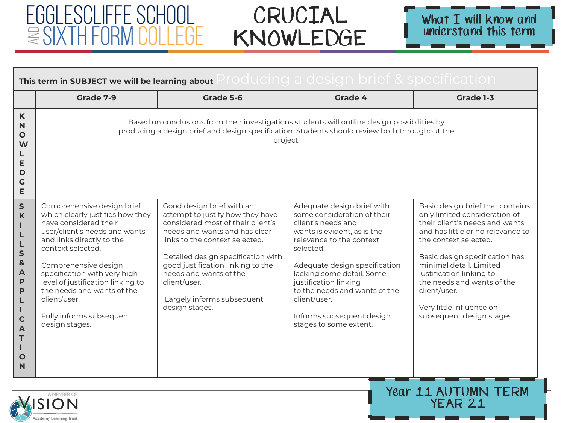|                                                                                                                                                                                 | Producing a design brief & specification.<br>This term in SUBJECT we will be learning about                                                                                                                                                                                                                                                                         |                                                                                                                                                                                                                                                                                                                                            |                                                                                                                                                                                                                                                                                                                                                        |                                                                                                                                                                                                                                                                                                                                                                   |  |  |
|---------------------------------------------------------------------------------------------------------------------------------------------------------------------------------|---------------------------------------------------------------------------------------------------------------------------------------------------------------------------------------------------------------------------------------------------------------------------------------------------------------------------------------------------------------------|--------------------------------------------------------------------------------------------------------------------------------------------------------------------------------------------------------------------------------------------------------------------------------------------------------------------------------------------|--------------------------------------------------------------------------------------------------------------------------------------------------------------------------------------------------------------------------------------------------------------------------------------------------------------------------------------------------------|-------------------------------------------------------------------------------------------------------------------------------------------------------------------------------------------------------------------------------------------------------------------------------------------------------------------------------------------------------------------|--|--|
|                                                                                                                                                                                 | Grade 7-9                                                                                                                                                                                                                                                                                                                                                           | Grade 5-6                                                                                                                                                                                                                                                                                                                                  | Grade 4                                                                                                                                                                                                                                                                                                                                                | Grade 1-3                                                                                                                                                                                                                                                                                                                                                         |  |  |
| $\mathsf{K}$<br>N<br>O<br>W<br>L<br>E<br>D<br>G<br>E                                                                                                                            |                                                                                                                                                                                                                                                                                                                                                                     | Based on conclusions from their investigations students will outline design possibilities by<br>producing a design brief and design specification. Students should review both throughout the<br>project.                                                                                                                                  |                                                                                                                                                                                                                                                                                                                                                        |                                                                                                                                                                                                                                                                                                                                                                   |  |  |
| $\mathsf{S}$<br>$\mathsf{K}$<br>т<br>L<br>L<br>$\mathsf{s}$<br>$\mathbf{g}$<br>$\mathsf{A}$<br>P<br>P<br>L<br>H.<br>$\mathbf C$<br>$\overline{A}$<br>T<br>т<br>$\mathbf O$<br>N | Comprehensive design brief<br>which clearly justifies how they<br>have considered their<br>user/client's needs and wants<br>and links directly to the<br>context selected.<br>Comprehensive design<br>specification with very high<br>level of justification linking to<br>the needs and wants of the<br>client/user.<br>Fully informs subsequent<br>design stages. | Good design brief with an<br>attempt to justify how they have<br>considered most of their client's<br>needs and wants and has clear<br>links to the context selected.<br>Detailed design specification with<br>good justification linking to the<br>needs and wants of the<br>client/user.<br>Largely informs subsequent<br>design stages. | Adequate design brief with<br>some consideration of their<br>client's needs and<br>wants is evident, as is the<br>relevance to the context<br>selected.<br>Adequate design specification<br>lacking some detail. Some<br>justification linking<br>to the needs and wants of the<br>client/user.<br>Informs subsequent design<br>stages to some extent. | Basic design brief that contains<br>only limited consideration of<br>their client's needs and wants<br>and has little or no relevance to<br>the context selected.<br>Basic design specification has<br>minimal detail. Limited<br>justification linking to<br>the needs and wants of the<br>client/user.<br>Very little influence on<br>subsequent design stages. |  |  |
|                                                                                                                                                                                 | Year 11 AUTUMN TERM<br>A MEMBER OF<br>WISION<br>YEAR 21                                                                                                                                                                                                                                                                                                             |                                                                                                                                                                                                                                                                                                                                            |                                                                                                                                                                                                                                                                                                                                                        |                                                                                                                                                                                                                                                                                                                                                                   |  |  |

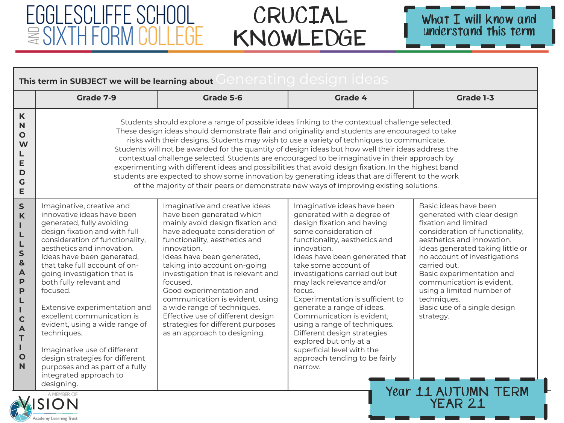Academy Learning Trust



|                                                                                                                                                                                                                 | This term in SUBJECT we will be learning about Generating design ideas                                                                                                                                                                                                                                                                                                                                                                                                                                                                                                                                   |                                                                                                                                                                                                                                                                                                                                                                                                                                                                                                                                                                                                                                                                                                                                                                                                                |                                                                                                                                                                                                                                                                                                                                                                                                                                                                                                                                                                       |                                                                                                                                                                                                                                                                                                                                                                                                             |  |
|-----------------------------------------------------------------------------------------------------------------------------------------------------------------------------------------------------------------|----------------------------------------------------------------------------------------------------------------------------------------------------------------------------------------------------------------------------------------------------------------------------------------------------------------------------------------------------------------------------------------------------------------------------------------------------------------------------------------------------------------------------------------------------------------------------------------------------------|----------------------------------------------------------------------------------------------------------------------------------------------------------------------------------------------------------------------------------------------------------------------------------------------------------------------------------------------------------------------------------------------------------------------------------------------------------------------------------------------------------------------------------------------------------------------------------------------------------------------------------------------------------------------------------------------------------------------------------------------------------------------------------------------------------------|-----------------------------------------------------------------------------------------------------------------------------------------------------------------------------------------------------------------------------------------------------------------------------------------------------------------------------------------------------------------------------------------------------------------------------------------------------------------------------------------------------------------------------------------------------------------------|-------------------------------------------------------------------------------------------------------------------------------------------------------------------------------------------------------------------------------------------------------------------------------------------------------------------------------------------------------------------------------------------------------------|--|
|                                                                                                                                                                                                                 | Grade 7-9                                                                                                                                                                                                                                                                                                                                                                                                                                                                                                                                                                                                | Grade 5-6                                                                                                                                                                                                                                                                                                                                                                                                                                                                                                                                                                                                                                                                                                                                                                                                      | Grade 4                                                                                                                                                                                                                                                                                                                                                                                                                                                                                                                                                               | Grade 1-3                                                                                                                                                                                                                                                                                                                                                                                                   |  |
| K<br>$\mathbf N$<br>$\mathbf{o}$<br>W<br>L<br>E<br>D<br>$\mathsf{G}$<br>E                                                                                                                                       |                                                                                                                                                                                                                                                                                                                                                                                                                                                                                                                                                                                                          | Students should explore a range of possible ideas linking to the contextual challenge selected.<br>These design ideas should demonstrate flair and originality and students are encouraged to take<br>risks with their designs. Students may wish to use a variety of techniques to communicate.<br>Students will not be awarded for the quantity of design ideas but how well their ideas address the<br>contextual challenge selected. Students are encouraged to be imaginative in their approach by<br>experimenting with different ideas and possibilities that avoid design fixation. In the highest band<br>students are expected to show some innovation by generating ideas that are different to the work<br>of the majority of their peers or demonstrate new ways of improving existing solutions. |                                                                                                                                                                                                                                                                                                                                                                                                                                                                                                                                                                       |                                                                                                                                                                                                                                                                                                                                                                                                             |  |
| $\mathsf{S}$<br>$\mathbf K$<br>$\mathbf{I}$<br>L<br>L<br>S<br>$\mathbf{8}$<br>$\overline{\mathsf{A}}$<br>$\mathsf{P}$<br>P<br>L<br>Т<br>$\mathbf C$<br>$\overline{A}$<br>T<br>L<br>$\mathbf{o}$<br>$\mathsf{N}$ | Imaginative, creative and<br>innovative ideas have been<br>generated, fully avoiding<br>design fixation and with full<br>consideration of functionality,<br>aesthetics and innovation.<br>Ideas have been generated,<br>that take full account of on-<br>going investigation that is<br>both fully relevant and<br>focused.<br>Extensive experimentation and<br>excellent communication is<br>evident, using a wide range of<br>techniques.<br>Imaginative use of different<br>design strategies for different<br>purposes and as part of a fully<br>integrated approach to<br>designing.<br>A MEMBER OF | Imaginative and creative ideas<br>have been generated which<br>mainly avoid design fixation and<br>have adequate consideration of<br>functionality, aesthetics and<br>innovation.<br>Ideas have been generated,<br>taking into account on-going<br>investigation that is relevant and<br>focused.<br>Good experimentation and<br>communication is evident, using<br>a wide range of techniques.<br>Effective use of different design<br>strategies for different purposes<br>as an approach to designing.                                                                                                                                                                                                                                                                                                      | Imaginative ideas have been<br>generated with a degree of<br>design fixation and having<br>some consideration of<br>functionality, aesthetics and<br>innovation.<br>Ideas have been generated that<br>take some account of<br>investigations carried out but<br>may lack relevance and/or<br>focus.<br>Experimentation is sufficient to<br>generate a range of ideas.<br>Communication is evident,<br>using a range of techniques.<br>Different design strategies<br>explored but only at a<br>superficial level with the<br>approach tending to be fairly<br>narrow. | Basic ideas have been<br>generated with clear design<br>fixation and limited<br>consideration of functionality,<br>aesthetics and innovation.<br>Ideas generated taking little or<br>no account of investigations<br>carried out.<br>Basic experimentation and<br>communication is evident,<br>using a limited number of<br>techniques.<br>Basic use of a single design<br>strategy.<br>Year 11 AUTUMN TERM |  |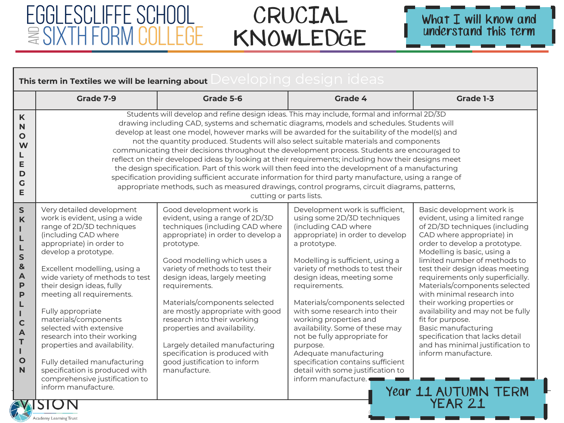Academy Learning Trust



| Developing design ideas<br>This term in Textiles we will be learning about                                                                                                                              |                                                                                                                                                                                                                                                                                                                                                                                                                                                                                                                                             |                                                                                                                                                                                                                                                                                                                                                                                                                                                                                                                                                                                                                                                                                                                                                                                                                                                                                                                                           |                                                                                                                                                                                                                                                                                                                                                                                                                                                                                                                                                                         |                                                                                                                                                                                                                                                                                                                                                                                                                                                                                                                                                                                      |
|---------------------------------------------------------------------------------------------------------------------------------------------------------------------------------------------------------|---------------------------------------------------------------------------------------------------------------------------------------------------------------------------------------------------------------------------------------------------------------------------------------------------------------------------------------------------------------------------------------------------------------------------------------------------------------------------------------------------------------------------------------------|-------------------------------------------------------------------------------------------------------------------------------------------------------------------------------------------------------------------------------------------------------------------------------------------------------------------------------------------------------------------------------------------------------------------------------------------------------------------------------------------------------------------------------------------------------------------------------------------------------------------------------------------------------------------------------------------------------------------------------------------------------------------------------------------------------------------------------------------------------------------------------------------------------------------------------------------|-------------------------------------------------------------------------------------------------------------------------------------------------------------------------------------------------------------------------------------------------------------------------------------------------------------------------------------------------------------------------------------------------------------------------------------------------------------------------------------------------------------------------------------------------------------------------|--------------------------------------------------------------------------------------------------------------------------------------------------------------------------------------------------------------------------------------------------------------------------------------------------------------------------------------------------------------------------------------------------------------------------------------------------------------------------------------------------------------------------------------------------------------------------------------|
|                                                                                                                                                                                                         | Grade 7-9                                                                                                                                                                                                                                                                                                                                                                                                                                                                                                                                   | Grade 5-6                                                                                                                                                                                                                                                                                                                                                                                                                                                                                                                                                                                                                                                                                                                                                                                                                                                                                                                                 | Grade 4                                                                                                                                                                                                                                                                                                                                                                                                                                                                                                                                                                 | Grade 1-3                                                                                                                                                                                                                                                                                                                                                                                                                                                                                                                                                                            |
| K<br>N<br>$\mathbf{o}$<br>W<br>L<br>E<br>$\mathbf D$<br>$\mathbf G$<br>E                                                                                                                                |                                                                                                                                                                                                                                                                                                                                                                                                                                                                                                                                             | Students will develop and refine design ideas. This may include, formal and informal 2D/3D<br>drawing including CAD, systems and schematic diagrams, models and schedules. Students will<br>develop at least one model, however marks will be awarded for the suitability of the model(s) and<br>not the quantity produced. Students will also select suitable materials and components<br>communicating their decisions throughout the development process. Students are encouraged to<br>reflect on their developed ideas by looking at their requirements; including how their designs meet<br>the design specification. Part of this work will then feed into the development of a manufacturing<br>specification providing sufficient accurate information for third party manufacture, using a range of<br>appropriate methods, such as measured drawings, control programs, circuit diagrams, patterns,<br>cutting or parts lists. |                                                                                                                                                                                                                                                                                                                                                                                                                                                                                                                                                                         |                                                                                                                                                                                                                                                                                                                                                                                                                                                                                                                                                                                      |
| $\mathsf{S}$<br>$\mathsf{K}$<br>п<br>L<br>L<br>$\mathsf{s}$<br>$\mathbf{g}$<br>$\overline{A}$<br>P<br>P<br>L<br>L<br>$\mathbf C$<br>$\overline{A}$<br>$\mathsf{T}$<br>$\mathbf{L}$<br>$\mathbf{o}$<br>N | Very detailed development<br>work is evident, using a wide<br>range of 2D/3D techniques<br>(including CAD where<br>appropriate) in order to<br>develop a prototype.<br>Excellent modelling, using a<br>wide variety of methods to test<br>their design ideas, fully<br>meeting all requirements.<br>Fully appropriate<br>materials/components<br>selected with extensive<br>research into their working<br>properties and availability.<br>Fully detailed manufacturing<br>specification is produced with<br>comprehensive justification to | Good development work is<br>evident, using a range of 2D/3D<br>techniques (including CAD where<br>appropriate) in order to develop a<br>prototype.<br>Good modelling which uses a<br>variety of methods to test their<br>design ideas, largely meeting<br>requirements.<br>Materials/components selected<br>are mostly appropriate with good<br>research into their working<br>properties and availability.<br>Largely detailed manufacturing<br>specification is produced with<br>good justification to inform<br>manufacture.                                                                                                                                                                                                                                                                                                                                                                                                           | Development work is sufficient,<br>using some 2D/3D techniques<br>(including CAD where<br>appropriate) in order to develop<br>a prototype.<br>Modelling is sufficient, using a<br>variety of methods to test their<br>design ideas, meeting some<br>requirements.<br>Materials/components selected<br>with some research into their<br>working properties and<br>availability. Some of these may<br>not be fully appropriate for<br>purpose.<br>Adequate manufacturing<br>specification contains sufficient<br>detail with some justification to<br>inform manufacture. | Basic development work is<br>evident, using a limited range<br>of 2D/3D techniques (including<br>CAD where appropriate) in<br>order to develop a prototype.<br>Modelling is basic, using a<br>limited number of methods to<br>test their design ideas meeting<br>requirements only superficially.<br>Materials/components selected<br>with minimal research into<br>their working properties or<br>availability and may not be fully<br>fit for purpose.<br><b>Basic manufacturing</b><br>specification that lacks detail<br>and has minimal justification to<br>inform manufacture. |
|                                                                                                                                                                                                         | inform manufacture.<br>SION                                                                                                                                                                                                                                                                                                                                                                                                                                                                                                                 |                                                                                                                                                                                                                                                                                                                                                                                                                                                                                                                                                                                                                                                                                                                                                                                                                                                                                                                                           |                                                                                                                                                                                                                                                                                                                                                                                                                                                                                                                                                                         | Year 11 AUTUMN TERM<br>YEAR 21                                                                                                                                                                                                                                                                                                                                                                                                                                                                                                                                                       |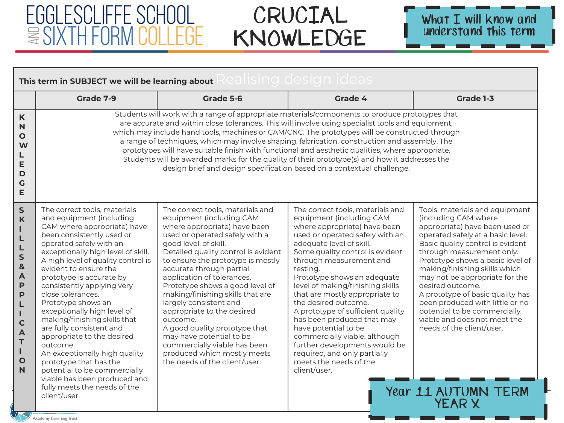

|                                                                                                                                                                                          | This term in SUBJECT we will be learning about RealISIng design Ideas                                                                                                                                                                                                                                                                                                                                                                                                                                                                                                                                                     |                                                                                                                                                                                                                                                                                                                                                                                                                                                                                                                                                                                                                                                                                      |                                                                                                                                                                                                                                                                                                                                                                                                                                                                                                                                                                                                           |                                                                                                                                                                                                                                                                                                                                                                                                                                                                                               |  |  |
|------------------------------------------------------------------------------------------------------------------------------------------------------------------------------------------|---------------------------------------------------------------------------------------------------------------------------------------------------------------------------------------------------------------------------------------------------------------------------------------------------------------------------------------------------------------------------------------------------------------------------------------------------------------------------------------------------------------------------------------------------------------------------------------------------------------------------|--------------------------------------------------------------------------------------------------------------------------------------------------------------------------------------------------------------------------------------------------------------------------------------------------------------------------------------------------------------------------------------------------------------------------------------------------------------------------------------------------------------------------------------------------------------------------------------------------------------------------------------------------------------------------------------|-----------------------------------------------------------------------------------------------------------------------------------------------------------------------------------------------------------------------------------------------------------------------------------------------------------------------------------------------------------------------------------------------------------------------------------------------------------------------------------------------------------------------------------------------------------------------------------------------------------|-----------------------------------------------------------------------------------------------------------------------------------------------------------------------------------------------------------------------------------------------------------------------------------------------------------------------------------------------------------------------------------------------------------------------------------------------------------------------------------------------|--|--|
|                                                                                                                                                                                          | Grade 7-9                                                                                                                                                                                                                                                                                                                                                                                                                                                                                                                                                                                                                 | Grade 5-6                                                                                                                                                                                                                                                                                                                                                                                                                                                                                                                                                                                                                                                                            | <b>Grade 4</b>                                                                                                                                                                                                                                                                                                                                                                                                                                                                                                                                                                                            | Grade 1-3                                                                                                                                                                                                                                                                                                                                                                                                                                                                                     |  |  |
| K<br>$\mathbf N$<br>$\mathbf{o}$<br>W<br>L<br>E<br>D<br>$\mathsf{G}$<br>E                                                                                                                |                                                                                                                                                                                                                                                                                                                                                                                                                                                                                                                                                                                                                           | Students will work with a range of appropriate materials/components to produce prototypes that<br>are accurate and within close tolerances. This will involve using specialist tools and equipment,<br>which may include hand tools, machines or CAM/CNC. The prototypes will be constructed through<br>a range of techniques, which may involve shaping, fabrication, construction and assembly. The<br>prototypes will have suitable finish with functional and aesthetic qualities, where appropriate.<br>Students will be awarded marks for the quality of their prototype(s) and how it addresses the<br>design brief and design specification based on a contextual challenge. |                                                                                                                                                                                                                                                                                                                                                                                                                                                                                                                                                                                                           |                                                                                                                                                                                                                                                                                                                                                                                                                                                                                               |  |  |
| $\mathsf{S}$<br>K<br>Ш<br>L<br>L<br>S<br>&<br>$\mathbf{A}$<br>P<br>$\mathsf{P}$<br>L<br>L<br>$\mathbf C$<br>$\overline{A}$<br>$\mathsf T$<br>$\mathbf{I}$<br>$\mathbf{o}$<br>$\mathbf N$ | The correct tools, materials<br>and equipment (including<br>CAM where appropriate) have<br>been consistently used or<br>operated safely with an<br>exceptionally high level of skill.<br>A high level of quality control is<br>evident to ensure the<br>prototype is accurate by<br>consistently applying very<br>close tolerances.<br>Prototype shows an<br>exceptionally high level of<br>making/finishing skills that<br>are fully consistent and<br>appropriate to the desired<br>outcome.<br>An exceptionally high quality<br>prototype that has the<br>potential to be commercially<br>viable has been produced and | The correct tools, materials and<br>equipment (including CAM<br>where appropriate) have been<br>used or operated safely with a<br>good level, of skill.<br>Detailed quality control is evident<br>to ensure the prototype is mostly<br>accurate through partial<br>application of tolerances.<br>Prototype shows a good level of<br>making/finishing skills that are<br>largely consistent and<br>appropriate to the desired<br>outcome.<br>A good quality prototype that<br>may have potential to be<br>commercially viable has been<br>produced which mostly meets<br>the needs of the client/user.                                                                                | The correct tools, materials and<br>equipment (including CAM<br>where appropriate) have been<br>used or operated safely with an<br>adequate level of skill.<br>Some quality control is evident<br>through measurement and<br>testing.<br>Prototype shows an adequate<br>level of making/finishing skills<br>that are mostly appropriate to<br>the desired outcome.<br>A prototype of sufficient quality<br>has been produced that may<br>have potential to be<br>commercially viable, although<br>further developments would be<br>required, and only partially<br>meets the needs of the<br>client/user. | Tools, materials and equipment<br>(including CAM where<br>appropriate) have been used or<br>operated safely at a basic level.<br>Basic quality control is evident<br>through measurement only.<br>Prototype shows a basic level of<br>making/finishing skills which<br>may not be appropriate for the<br>desired outcome.<br>A prototype of basic quality has<br>been produced with little or no<br>potential to be commercially<br>viable and does not meet the<br>needs of the client/user. |  |  |
|                                                                                                                                                                                          | fully meets the needs of the<br>client/user.                                                                                                                                                                                                                                                                                                                                                                                                                                                                                                                                                                              |                                                                                                                                                                                                                                                                                                                                                                                                                                                                                                                                                                                                                                                                                      |                                                                                                                                                                                                                                                                                                                                                                                                                                                                                                                                                                                                           | Year 11 AUTUMN TERM<br><b>YEAR X</b>                                                                                                                                                                                                                                                                                                                                                                                                                                                          |  |  |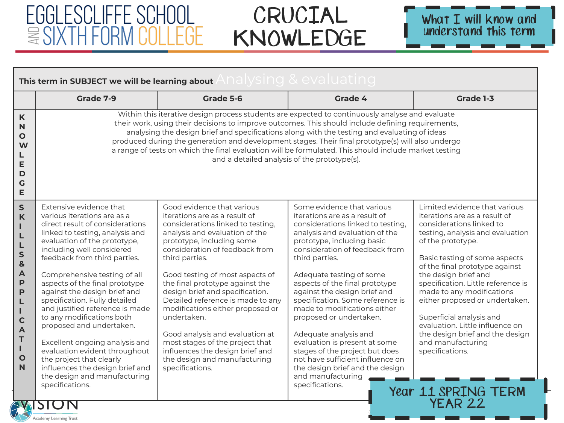Academy Learning Trust



| This term in SUBJECT we will be learning about Analysing & evaluating                                                                                                                                |                                                                                                                                                                                                                                                                                                                                                                                                                                                                                                                                                                                                                                                                 |                                                                                                                                                                                                                                                                                                                                                                                                                                                                                                                                                                                  |                                                                                                                                                                                                                                                                                                                                                                                                                                                                                                                                                                                                                              |                                                                                                                                                                                                                                                                                                                                                                                                                                                                                                                                 |  |
|------------------------------------------------------------------------------------------------------------------------------------------------------------------------------------------------------|-----------------------------------------------------------------------------------------------------------------------------------------------------------------------------------------------------------------------------------------------------------------------------------------------------------------------------------------------------------------------------------------------------------------------------------------------------------------------------------------------------------------------------------------------------------------------------------------------------------------------------------------------------------------|----------------------------------------------------------------------------------------------------------------------------------------------------------------------------------------------------------------------------------------------------------------------------------------------------------------------------------------------------------------------------------------------------------------------------------------------------------------------------------------------------------------------------------------------------------------------------------|------------------------------------------------------------------------------------------------------------------------------------------------------------------------------------------------------------------------------------------------------------------------------------------------------------------------------------------------------------------------------------------------------------------------------------------------------------------------------------------------------------------------------------------------------------------------------------------------------------------------------|---------------------------------------------------------------------------------------------------------------------------------------------------------------------------------------------------------------------------------------------------------------------------------------------------------------------------------------------------------------------------------------------------------------------------------------------------------------------------------------------------------------------------------|--|
|                                                                                                                                                                                                      | Grade 7-9                                                                                                                                                                                                                                                                                                                                                                                                                                                                                                                                                                                                                                                       | Grade 5-6                                                                                                                                                                                                                                                                                                                                                                                                                                                                                                                                                                        | Grade 4                                                                                                                                                                                                                                                                                                                                                                                                                                                                                                                                                                                                                      | Grade 1-3                                                                                                                                                                                                                                                                                                                                                                                                                                                                                                                       |  |
| K<br>N<br>$\mathbf{o}$<br>W<br>L<br>E<br>D<br>$\mathsf C$<br>E                                                                                                                                       |                                                                                                                                                                                                                                                                                                                                                                                                                                                                                                                                                                                                                                                                 | Within this iterative design process students are expected to continuously analyse and evaluate<br>their work, using their decisions to improve outcomes. This should include defining requirements,<br>analysing the design brief and specifications along with the testing and evaluating of ideas<br>produced during the generation and development stages. Their final prototype(s) will also undergo<br>a range of tests on which the final evaluation will be formulated. This should include market testing<br>and a detailed analysis of the prototype(s).               |                                                                                                                                                                                                                                                                                                                                                                                                                                                                                                                                                                                                                              |                                                                                                                                                                                                                                                                                                                                                                                                                                                                                                                                 |  |
| $\mathsf S$<br>K<br>I.<br>L<br>L<br>S<br>$\mathbf{8}$<br>$\overline{A}$<br>$\mathsf{P}$<br>$\mathsf{P}$<br>L<br>$\mathbf{I}$<br>$\mathbf C$<br>$\overline{\mathsf{A}}$<br>T<br>L<br>$\mathbf O$<br>N | Extensive evidence that<br>various iterations are as a<br>direct result of considerations<br>linked to testing, analysis and<br>evaluation of the prototype,<br>including well considered<br>feedback from third parties.<br>Comprehensive testing of all<br>aspects of the final prototype<br>against the design brief and<br>specification. Fully detailed<br>and justified reference is made<br>to any modifications both<br>proposed and undertaken.<br>Excellent ongoing analysis and<br>evaluation evident throughout<br>the project that clearly<br>influences the design brief and<br>the design and manufacturing<br>specifications.<br><b>SWISTON</b> | Good evidence that various<br>iterations are as a result of<br>considerations linked to testing,<br>analysis and evaluation of the<br>prototype, including some<br>consideration of feedback from<br>third parties.<br>Good testing of most aspects of<br>the final prototype against the<br>design brief and specification.<br>Detailed reference is made to any<br>modifications either proposed or<br>undertaken.<br>Good analysis and evaluation at<br>most stages of the project that<br>influences the design brief and<br>the design and manufacturing<br>specifications. | Some evidence that various<br>iterations are as a result of<br>considerations linked to testing,<br>analysis and evaluation of the<br>prototype, including basic<br>consideration of feedback from<br>third parties.<br>Adequate testing of some<br>aspects of the final prototype<br>against the design brief and<br>specification. Some reference is<br>made to modifications either<br>proposed or undertaken.<br>Adequate analysis and<br>evaluation is present at some<br>stages of the project but does<br>not have sufficient influence on<br>the design brief and the design<br>and manufacturing<br>specifications. | Limited evidence that various<br>iterations are as a result of<br>considerations linked to<br>testing, analysis and evaluation<br>of the prototype.<br>Basic testing of some aspects<br>of the final prototype against<br>the design brief and<br>specification. Little reference is<br>made to any modifications<br>either proposed or undertaken.<br>Superficial analysis and<br>evaluation. Little influence on<br>the design brief and the design<br>and manufacturing<br>specifications.<br>Year 11 SPRING TERM<br>YEAR 22 |  |